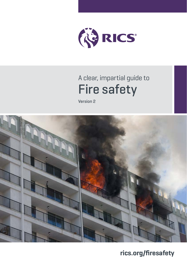

# A clear, impartial guide to Fire safety

Version 2



**[rics.org/fi](https://www.rics.org/uk/upholding-professional-standards/sector-standards/real-estate/rics-property-measurement-2nd-edition/)resafety**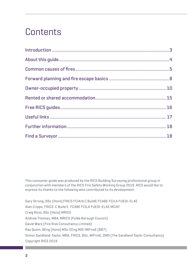# **Contents**

This consumer guide was produced by the RICS Building Surveying professional group in conjunction with members of the RICS Fire Safety Working Group 2019. RICS would like to express its thanks to the following who contributed to its development:

Gary Strong, BSc (Hons) FRICS FCIArb C.BuildE FCABE FCILA FUEDI-ELAE Alan Cripps, FRICS C.Build.E FCABE FCILA FUEDI-ELAE MCIAT Craig Ross, BSc (Hons) MRICS Andrew Thomas, MBA, MRICS (Fylde Borough Council) David Ware (Fire Risk Consultancy Limited) Ray Quinn, BEng (Hons) MSc CEng MIEI MIFireE (BB7) Simon Sandland-Taylor, MBA, FRICS, BSc, MIFireE, DMS (The Sandland Taylor Consultancy) Copyright RICS 2019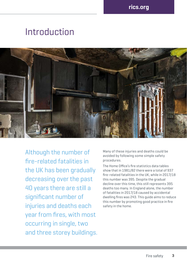# **Introduction**



Although the number of fire-related fatalities in the UK has been gradually decreasing over the past 40 years there are still a significant number of injuries and deaths each year from fires, with most occurring in single, two and three storey buildings. Many of these injuries and deaths could be avoided by following some simple safety procedures.

The Home Office's fire statistics data tables show that in 1981/82 there were a total of 937 fire-related fatalities in the UK, while in 2017/18 this number was 395. Despite the gradual decline over this time, this still represents 395 deaths too many. In England alone, the number of fatalities in 2017/18 caused by accidental dwelling fires was 243. This guide aims to reduce this number by promoting good practice in fire safety in the home.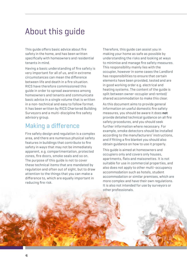## About this guide

This guide offers basic advice about fire safety in the home, and has been written specifically with homeowners and residential tenants in mind.

Having a basic understanding of fire safety is very important for all of us, and in extreme circumstances can mean the difference between life and death in a fire situation. RICS have therefore commissioned this guide in order to spread awareness among homeowners and tenants and communicate basic advice in a single volume that is written in a non-technical and easy to follow format. It has been written by RICS Chartered Building Surveyors and a multi-discipline fire safety advisory group.

### Making a difference

Fire safety design and regulation is a complex area, and there are numerous physical safety features in buildings that contribute to fire safety in ways that may not be immediately apparent, e.g. compartmentation, protected zones, fire doors, smoke seals and so on. The purpose of this guide is not to cover these technical items that are mandated by regulation and often out of sight, but to draw attention to the things that you can make a difference to, which are equally important in reducing fire risk.

Therefore, this guide can assist you in making your home as safe as possible by understanding the risks and looking at ways to minimise and manage fire safety measures. This responsibility mainly lies with the occupier, however in some cases the Landlord has responsibilities to ensure that certain elements have been provided, tested and are in good working order e.g. electrical and heating systems. The content of the guide is split between owner-occupier and rented/ shared accommodation to make this clear.

As this document aims to provide general information on useful domestic fire safety measures, you should be aware it does **not** provide detailed technical guidance on all fire safety procedures, and you should seek further information where necessary. For example, smoke detectors should be installed according to the manufacturers' instructions, and if fitting a fire blanket you should also obtain guidance on how to use it properly.

This guide is aimed at homeowners and occupiers only and covers only houses, apartments, flats and maisonettes. It is not suitable for use in commercial properties, and also does not apply to other multi-occupancy accommodation such as hotels, student accommodation or similar premises, which are more complex and have their own regulations. It is also not intended for use by surveyors or other professionals.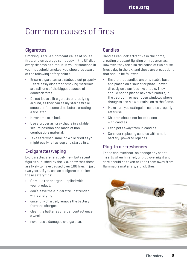## Common causes of fires

### **Cigarettes**

Smoking is still a significant cause of house fires, and on average somebody in the UK dies every six days as a result. If you or someone in your household smokes, you should be aware of the following safety points.

- **•** Ensure cigarettes are stubbed out properly – carelessly discarded smoking materials are still one of the biggest causes of domestic fires.
- **•** Do not leave a lit cigarette or pipe lying around, as they can easily start a fire or smoulder for some time before creating a fire later.
- **•** Never smoke in bed.
- **•** Use a proper ashtray that is in a stable, secure position and made of noncombustible material.
- **•** Take care when smoking while tired as you might easily fall asleep and start a fire.

### E-cigarettes/vaping

E-cigarettes are relatively new, but recent figures published by the BBC show that these are likely to have caused over 100 fires in just two years. If you use an e-cigarette, follow these safety tips:

- **•** Only use the charger supplied with your product;
- **•** don't leave the e-cigarette unattended while charging;
- **•** once fully charged, remove the battery from the charger;
- **•** clean the batteries charger contact once a week;
- **•** never use a damaged e-cigarette.

### Candles

Candles can look attractive in the home, creating pleasant lighting or nice aromas. However, they are also the cause of two house fires a day in the UK, and these are precautions that should be followed.

- **•** Ensure that candles are on a stable base, and placed on a saucer or plate – never directly on a surface like a table. They should not be placed next to furniture, in the bedroom, or near open windows where draughts can blow curtains on to the flame.
- **•** Make sure you extinguish candles properly after use.
- **•** Children should not be left alone with candles.
- **•** Keep pets away from lit candles.
- **•** Consider replacing candles with small, battery-powered replicas.

### Plug-in air fresheners

These can overheat, so change any scent inserts when finished, unplug overnight and care should be taken to keep them away from flammable materials, e.g. clothes.

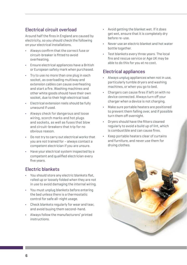#### Electrical circuit overload

Around half the fires in England are caused by electricity, so you should check the following on your electrical installations.

- **•** Always confirm that the correct fuse or circuit-breaker is fitted to avoid overheating.
- **•** Ensure electrical appliances have a British or European safety mark when purchased.
- **•** Try to use no more than one plug in each socket, as overloading multiway and extension cables can cause overheating and start a fire. Washing machines and other white goods should have their own socket, due to their high electrical load.
- **•** Electrical extension reels should be fully unwound if used.
- **•** Always check for dangerous and loose wiring, scorch marks and hot plugs and sockets, as well as fuses that blow and circuit-breakers that trip for no obvious reason.
- **•** Do not try to carry out electrical works that you are not trained for – always contact a competent electrician if you are unsure.
- **•** Have your electrical system inspected by a competent and qualified electrician every five years.

#### Electric blankets

- **•** You should store any electric blankets flat, rolled up or loosely folded when they are not in use to avoid damaging the internal wiring.
- **•** You must unplug blankets before entering the bed unless there is a thermostatic control for safe all-night usage.
- **•** Check blankets regularly for wear and tear, and avoid buying them second-hand.
- **•** Always follow the manufacturers' printed instructions.
- **•** Avoid getting the blanket wet. If it does get wet, ensure that it is completely dry before re-use.
- **•** Never use an electric blanket and hot water bottle together.
- **•** Test blankets every three years. The local fire and rescue service or Age UK may be able to do this for you at no cost.

#### Electrical appliances

- **•** Always unplug appliances when not in use, particularly tumble dryers and washing machines, or when you go to bed.
- **•** Chargers can cause fires if left on with no device connected. Always turn off your charger when a device is not charging.
- **•** Make sure portable heaters are positioned to prevent them falling over, and if possible turn them off overnight.
- **•** Dryers should have the filters cleaned regularly to avoid a build up of lint, which is combustible and can cause fires.
- **•** Keep portable heaters clear of curtains and furniture, and never use them for drying clothes.

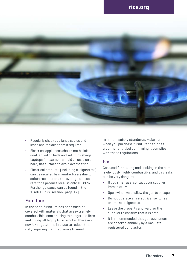### **[rics.org](http://rics.org)**



- **•** Regularly check appliance cables and leads and replace them if required.
- **•** Electrical appliances should not be left unattended on beds and soft furnishings. Laptops for example should be used on a hard, flat surface to avoid overheating.
- **•** Electrical products (including e-cigarettes) can be recalled by manufacturers due to safety reasons and the average success rate for a product recall is only 10-20%. Further guidance can be found in the 'Useful Links' section (page 17).

#### Furniture

In the past, furniture has been filled or covered with materials that are extremely combustible, contributing to dangerous fires and giving off highly toxic smoke. There are now UK regulations in place to reduce this risk, requiring manufacturers to meet

minimum safety standards. Make sure when you purchase furniture that it has a permanent label confirming it complies with these regulations.

#### Gas

Gas used for heating and cooking in the home is obviously highly combustible, and gas leaks can be very dangerous.

- **•** If you smell gas, contact your supplier immediately.
- **•** Open windows to allow the gas to escape.
- **•** Do not operate any electrical switches or smoke a cigarette.
- **•** Leave the property and wait for the supplier to confirm that it is safe.
- **•** It is recommended that gas appliances are checked annually by a Gas Saferegistered contractor.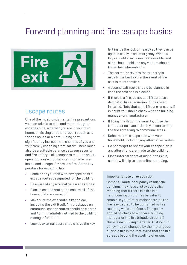# Forward planning and fire escape basics



### Escape routes

One of the most fundamental fire precautions you can take is to plan and memorise your escape route, whether you are in your own home, or visiting another property such as a friends house or a hotel. Doing so will significantly increase the chances of you and your family escaping a fire safely. There must also be a suitable balance between security and fire safety – all occupants must be able to open doors or windows as appropriate from inside and escape if there is a fire. Some key pointers for escaping fire:

- **•** Familiarise yourself with any specific fire escape routes designated for the building.
- **•** Be aware of any alternative escape routes.
- **•** Plan an escape route, and ensure all of the household are aware of it.
- **•** Make sure the exit route is kept clear, including the exit itself. Any blockages on communal escape routes should be cleared and / or immediately notified to the building manager for action.
- **•** Locked external doors should have the key

left inside the lock or nearby so they can be opened easily in an emergency. Window keys should also be easily accessible, and all the household and any visitors should know their whereabouts.

- **•** The normal entry into the property is usually the best exit in the event of fire as it is most familiar.
- **•** A second exit route should be planned in case the first one is blocked.
- **•** If there is a fire, do not use lifts unless a dedicated fire evacuation lift has been installed. Note that such lifts are rare, and if in doubt you should check with the building manager or manufacturer.
- **•** If living in a flat or maisonette, close the front door on evacuation if you can to stop the fire spreading to communal areas.
- **•** Rehearse the escape plan with your household, including any alternative routes.
- **•** Do not forget to review your escape plan if any alterations are made to the building.
- **•** Close internal doors at night if possible, as this will help to stop a fire spreading.

#### **Important note on evacuation**

Some tall multi-occupancy residential buildings may have a 'stay put' policy, meaning that if there is a fire in a neighbouring unit it may be safer to remain in your flat or maisonette, as the fire is expected to be contained by fire resisting walls and floors. This policy should be checked with your building manager or the fire brigade directly if there is no building manager. A 'stay-put' policy may be changed by the fire brigade during a fire in the rare event that the fire spreads beyond the dwelling of origin.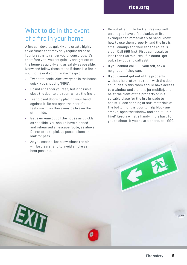### What to do in the event of a fire in your home

A fire can develop quickly and create highly toxic fumes that may only require three or four breaths to render you unconscious. It's therefore vital you act quickly and get out of the home as quickly and as safely as possible. Know and follow these steps if there is a fire in your home or if your fire alarms go off.

- **•** Try not to panic. Alert everyone in the house quickly by shouting 'FIRE'.
- **•** Do not endanger yourself, but if possible close the door to the room where the fire is.
- **•** Test closed doors by placing your hand against it. Do not open the door if it feels warm, as there may be fire on the other side.
- **•** Get everyone out of the house as quickly as possible. You should have planned and rehearsed an escape route, as above. Do not stop to pick up possessions or look for pets.
- **•** As you escape, keep low where the air will be clearer and to avoid smoke as best possible.

EXT

- **•** Do not attempt to tackle fires yourself unless you have a fire blanket or fire extinguisher immediately to hand, know how to use them properly, and the fire is small enough and your escape route is clear. Call 999 first. Fires can escalate in less than two minutes. If in doubt, get out, stay out and call 999.
- **•** If you cannot call 999 yourself, ask a neighbour if they can.
- **•** If you cannot get out of the property without help, stay in a room with the door shut. Ideally this room should have access to a window and a phone (or mobile), and be at the front of the property or in a suitable place for the fire brigade to assist. Place bedding or soft materials at the bottom of the door to help block any smoke, open the window and shout 'Help! Fire!' Keep a whistle handy if it is hard for you to shout. If you have a phone, call 999.

E.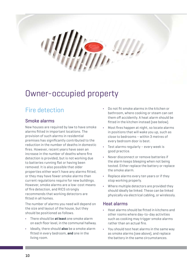

## Owner-occupied property

## Fire detection

#### Smoke alarms

New houses are required by law to have smoke alarms fitted in important locations. The provision of such alarms in residential premises has significantly contributed to the reduction in the number of deaths in domestic fires. However, recent years have seen an increase in the number of deaths where fire detection is provided, but is not working due to batteries running flat or having been removed. It is also possible that older properties either won't have any alarms fitted, or they may have fewer smoke alarms than current regulations require for new buildings. However, smoke alarms are a low-cost means of fire detection, and RICS strongly recommends that working detectors are fitted in all homes.

The number of alarms you need will depend on the size and layout of the house, but they should be positioned as follows.

- **•** There should be **at least** one smoke alarm on each floor level, in the communal hallway.
- **•** Ideally, there should **also** be a smoke alarm fitted in every bedroom, **and** one in the living room.
- **•** Do not fit smoke alarms in the kitchen or bathroom, where cooking or steam can set them off accidently. A heat alarm should be fitted in the kitchen instead (see below).
- **•** Most fires happen at night, so locate alarms in positions that will wake you up, such as close to bedrooms – within 3 metres of every bedroom door is best.
- **•** Test alarms regularly every week is good practice.
- **•** Never disconnect or remove batteries if the alarm keeps bleeping when not being tested. Either replace the battery or replace the smoke alarm.
- **•** Replace alarms every ten years or if they stop working properly.
- **•** Where multiple detectors are provided they should ideally be linked. These can be linked physically via electrical cabling, or wirelessly.

#### Heat alarms

- **•** Heat alarms should be fitted in kitchens and other rooms where day-to-day activities such as cooking may trigger smoke alarms rather than an actual fire.
- **•** You should test heat alarms in the same way as smoke alarms (see above), and replace the battery in the same circumstances.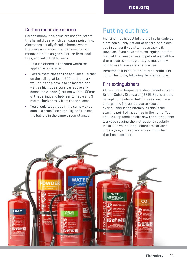#### Carbon monoxide alarms

Carbon monoxide alarms are used to detect this harmful gas, which can cause poisoning. Alarms are usually fitted in homes where there are appliances that can emit carbon monoxide, such as gas boilers or fires, coal fires, and solid-fuel burners.

- **•** Fit such alarms in the room where the appliance is installed.
- **•** Locate them close to the appliance either on the ceiling, at least 300mm from any wall, or, if the alarm is to be located on a wall, as high up as possible (above any doors and windows) but not within 150mm of the ceiling; and between 1 metre and 3 metres horizontally from the appliance.
- **•** You should test these in the same way as smoke alarms (see page 10), and replace the battery in the same circumstances.

### Putting out fires

Fighting fires is best left to the fire brigade as a fire can quickly get out of control and place you in danger if you attempt to tackle it. However, if you have a fire extinguisher or fire blanket that you can use to put out a small fire that's located in one place, you must know how to use these safely before use.

Remember, if in doubt, there is no doubt. Get out of the home, following the steps above.

#### Fire extinguishers

All new fire extinguishers should meet current British Safety Standards (BS EN3) and should be kept somewhere that's in easy reach in an emergency. The best place to keep an extinguisher is the kitchen, as this is the starting point of most fires in the home. You should keep familiar with how the extinguisher works by reading the instructions regularly. Make sure your extinguishers are serviced once a year, and replace any extinguisher that has been used.

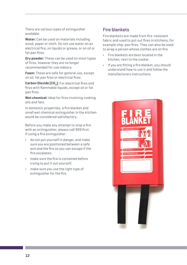There are various types of extinguisher available:

**Water:** Can be used on materials including wood, paper or cloth. Do not use water on an electrical fire, on liquids or grease, or on oil or fat pan fires.

**Dry powder:** These can be used on most types of fires, however they are no longer recommended for use indoors.

**Foam:** These are safe for general use, except on oil, fat pan fires or electrical fires.

**Carbon Dioxide (CO2):** For electrical fires and fires with flammable liquids, except oil or fat pan fires.

**Wet chemical:** Ideal for fires involving cooking oils and fats.

In domestic properties, a fire blanket and small wet chemical extinguisher in the kitchen would be considered satisfactory.

Before you make any attempt to stop a fire with an extinguisher, always call 999 first. If using a fire extinguisher:

- **•** do not put yourself in danger, and make sure you are positioned between a safe exit and the fire so you can escape if the fire escalates;
- **•** make sure the fire is contained before trying to put it out yourself;
- **•** make sure you use the right type of extinguisher for the fire.

### Fire blankets

Fire blankets are made from fire-resistant fabric and used to put out fires in kitchens, for example chip-pan fires. They can also be used to wrap a person whose clothes are on fire.

- **•** Fire blankets are best located in the kitchen, next to the cooker.
- **•** If you are fitting a fire blanket, you should understand how to use it and follow the manufacturers instructions.

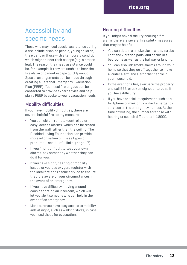## Accessibility and specific needs

Those who may need special assistance during a fire include disabled people, young children, the elderly or those with a temporary condition which might hinder their escape (e.g. a broken leg). The reason they need assistance could be, for example, if they are unable to hear the fire alarm or cannot escape quickly enough. Special arrangements can be made through creating a Personal Emergency Evacuation Plan (PEEP). Your local fire brigade can be contacted to provide expert advice and help plan a PEEP bespoke to your evacuation needs.

#### Mobility difficulties

If you have mobility difficulties, there are several helpful fire safety measures.

- **•** You can obtain remote-controlled or easy-access alarms, which can be tested from the wall rather than the ceiling. The Disabled Living Foundation can provide more information on these types of products – see 'Useful links' (page 17).
- **•** If you find it difficult to test your own alarms, ask somebody whether they can do it for you.
- **•** If you have sight, hearing or mobility issues or you use oxygen, register with the local fire and rescue service to ensure that it is aware of your circumstances in the event of an emergency.
- **•** If you have difficulty moving around consider fitting an intercom, which will let you alert someone who can help in the event of an emergency.
- **•** Make sure you have easy access to mobility aids at night, such as walking sticks, in case you need these for evacuation.

### Hearing difficulties

If you might have difficulty hearing a fire alarm, there are several fire safety measures that may be helpful.

- **•** You can obtain a smoke alarm with a strobe light and vibration pads, and fit this in all bedrooms as well as the hallway or landing.
- **•** You can also link smoke alarms around your home so that they go off together to make a louder alarm and alert other people in your household.
- **•** In the event of a fire, evacuate the property and call 999, or ask a neighbour to do so if you have difficulty.
- **•** If you have specialist equipment such as a textphone or minicom, contact emergency services on the emergency number. At the time of writing, the number for those with hearing or speech difficulties is 18000.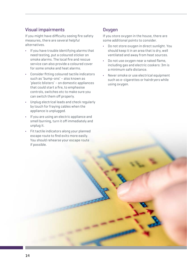### Visual impairments

If you might have difficulty seeing fire safety measures, there are several helpful alternatives.

- **•** If you have trouble identifying alarms that need testing, put a coloured sticker on smoke alarms. The local fire and rescue service can also provide a coloured cover for some smoke and heat alarms.
- **•** Consider fitting coloured tactile indicators such as 'bump-ons' – also known as 'plastic blisters' – on domestic appliances that could start a fire, to emphasise controls, switches etc to make sure you can switch them off properly.
- **•** Unplug electrical leads and check regularly by touch for fraying cables when the appliance is unplugged.
- **•** If you are using an electric appliance and smell burning, turn it off immediately and unplug it.
- **•** Fit tactile indicators along your planned escape route to find exits more easily. You should rehearse your escape route if possible.

#### **Oxygen**

If you store oxygen in the house, there are some additional points to consider.

- **•** Do not store oxygen in direct sunlight. You should keep it in an area that is dry, well ventilated and away from heat sources.
- **•** Do not use oxygen near a naked flame, including gas and electric cookers: 3m is a minimum safe distance.
- **•** Never smoke or use electrical equipment such as e-cigarettes or hairdryers while using oxygen.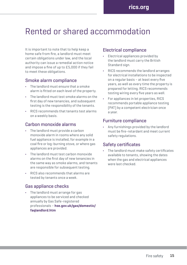## Rented or shared accommodation

It is important to note that to help keep a home safe from fire, a landlord must meet certain obligations under law, and the local authority can issue a remedial action notice and impose a fine of up to £5,000 if they fail to meet these obligations.

#### Smoke alarm compliance

- **•** The landlord must ensure that a smoke alarm is fitted on each level of the property.
- **•** The landlord must test smoke alarms on the first day of new tenancies, and subsequent testing is the responsibility of the tenants.
- **•** RICS recommends that tenants test alarms on a weekly basis.

#### Carbon monoxide alarms

- **•** The landlord must provide a carbon monoxide alarm in rooms where any solid fuel appliance is installed, for example in a coal fire or log-burning stove, or where gas appliances are provided.
- **•** The landlord must test carbon monoxide alarms on the first day of new tenancies in the same way as smoke alarms, and tenants are responsible for subsequent testing.
- **•** RICS also recommends that alarms are tested by tenants once a week.

#### Gas appliance checks

**•** The landlord must arrange for gas appliances to be serviced and checked annually by Gas Safe-registered professionals – **[hse.gov.uk/gas/domestic/](http://hse.gov.uk/gas/domestic/faqlandlord.htm) [faqlandlord.htm](http://hse.gov.uk/gas/domestic/faqlandlord.htm)**

#### Electrical compliance

- **•** Electrical appliances provided by the landlord must carry the British Standard sign.
- **•** RICS recommends the landlord arranges for electrical installations to be inspected on a regular basis – at least every five years, as well as every time the property is prepared for letting. RICS recommends testing wiring every five years as well.
- **•** For appliances in let properties, RICS recommends portable appliance testing (PAT) by a competent electrician once a year.

#### Furniture compliance

**•** Any furnishings provided by the landlord must be fire-retardant and meet current safety regulations.

#### Safety certificates

**•** The landlord must make safety certificates available to tenants, showing the dates when the gas and electrical appliances were last checked.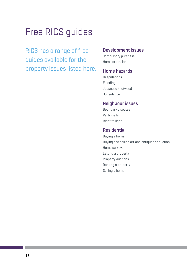# Free RICS guides

RICS has a range of free guides available for the property issues listed here.

#### Development issues

Compulsory purchase Home extensions

#### Home hazards

Dilapidations Flooding Japanese knotweed Subsidence

#### Neighbour issues

Boundary disputes Party walls Right to light

#### Residential

Buying a home Buying and selling art and antiques at auction Home surveys Letting a property Property auctions Renting a property Selling a home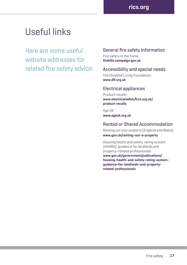# Useful links

Here are some useful website addresses for related fire safety advice:

### General fire safety information

Fire safety in the home **[firekills.campaign.gov.uk](http://firekills.campaign.gov.uk)**

#### Accessibility and special needs

The Disabled Living Foundation **[www.dlf.org.uk](http://www.dlf.org.uk)**

#### Electrical appliances

Product recalls **[www.electricalsafetyfirst.org.uk/](http://www.electricalsafetyfirst.org.uk/) product-recalls**

Age UK **[www.ageuk.org.uk](http://www.ageuk.org.uk)**

#### Rented or Shared Accommodation

Renting out your property (England and Wales) **[www.gov.uk/renting-out-a-property](http://www.gov.uk/renting-out-a-property)**

Housing health and safety rating system (HHSRS): guidance for landlords and property-related professionals **[www.gov.uk/government/publications/](http://www.gov.uk/government/publications/housing-health-and-safety-rating-system-guidance-for-landlords-and-property-) [housing-health-and-safety-rating-system](http://www.gov.uk/government/publications/housing-health-and-safety-rating-system-guidance-for-landlords-and-property-)[guidance-for-landlords-and-property](http://www.gov.uk/government/publications/housing-health-and-safety-rating-system-guidance-for-landlords-and-property-)related-professionals**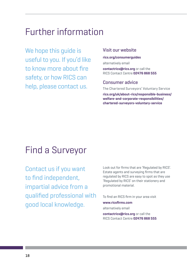# Further information

We hope this guide is useful to you. If you'd like to know more about fire safety, or how RICS can help, please contact us.

#### Visit our website

**[rics.org/consumerguides](http://rics.org/consumerguides)** alternatively email

**[contactrics@rics.org](mailto:contactrics%40rics.org?subject=)** or call the RICS Contact Centre **02476 868 555**

#### Consumer advice

The Chartered Surveyors' Voluntary Service **[rics.org/uk/about-rics/responsible-business/](http://rics.org/uk/about-rics/responsible-business/welfare-and-corporate-responsibilities/chartered-surveyors-voluntary-service) [welfare-and-corporate-responsibilities/](http://rics.org/uk/about-rics/responsible-business/welfare-and-corporate-responsibilities/chartered-surveyors-voluntary-service) [chartered-surveyors-voluntary-service](http://rics.org/uk/about-rics/responsible-business/welfare-and-corporate-responsibilities/chartered-surveyors-voluntary-service)** 

## Find a Surveyor

Contact us if you want to find independent, impartial advice from a qualified professional with good local knowledge.

Look out for firms that are 'Regulated by RICS'. Estate agents and surveying firms that are regulated by RICS are easy to spot as they use 'Regulated by RICS' on their stationery and promotional material.

To find an RICS firm in your area visit

#### **[www.ricsfirms.com](http://ricsfirms.com)**

alternatively email

**[contactrics@rics.org](mailto:contactrics%40rics.org?subject=)** or call the RICS Contact Centre **02476 868 555**